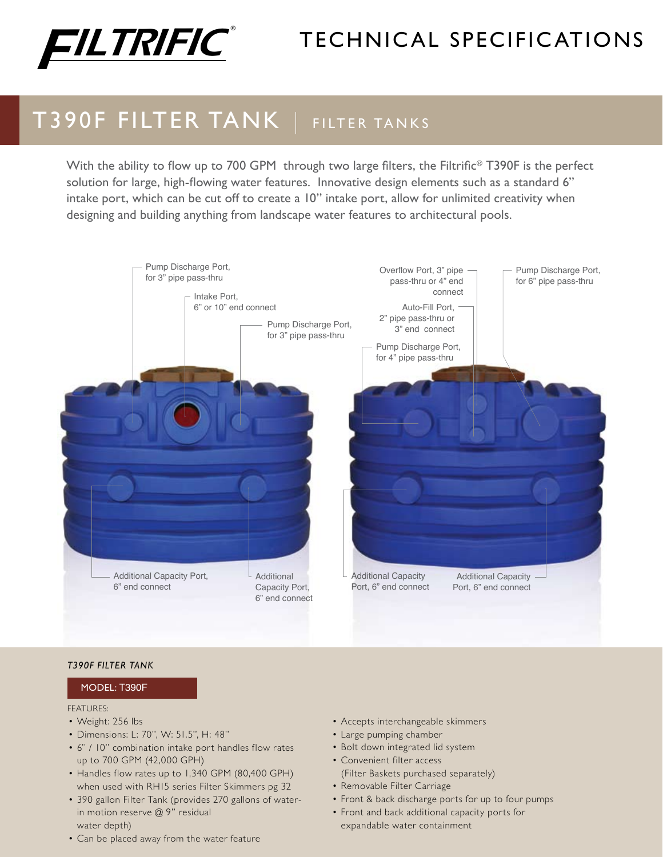

# technical specific ations

## T390F FILTER TANK | FILTER TANKS

With the ability to flow up to 700 GPM through two large filters, the Filtrific<sup>®</sup> T390F is the perfect solution for large, high-flowing water features. Innovative design elements such as a standard 6" intake port, which can be cut off to create a 10" intake port, allow for unlimited creativity when designing and building anything from landscape water features to architectural pools.



#### *T390F Filter Tank*

#### Model: T390F

#### FEATURES:

- Weight: 256 lbs
- • Dimensions: L: 70", W: 51.5", H: 48"
- 6" / 10" combination intake port handles flow rates up to 700 GPM (42,000 GPH)
- Handles flow rates up to 1,340 GPM (80,400 GPH) when used with RH15 series Filter Skimmers pg 32
- • 390 gallon Filter Tank (provides 270 gallons of waterin motion reserve @ 9" residual water depth)
- Can be placed away from the water feature
- • Accepts interchangeable skimmers
- Large pumping chamber
- Bolt down integrated lid system
- • Convenient filter access (Filter Baskets purchased separately)
- Removable Filter Carriage
- Front & back discharge ports for up to four pumps
- • Front and back additional capacity ports for expandable water containment